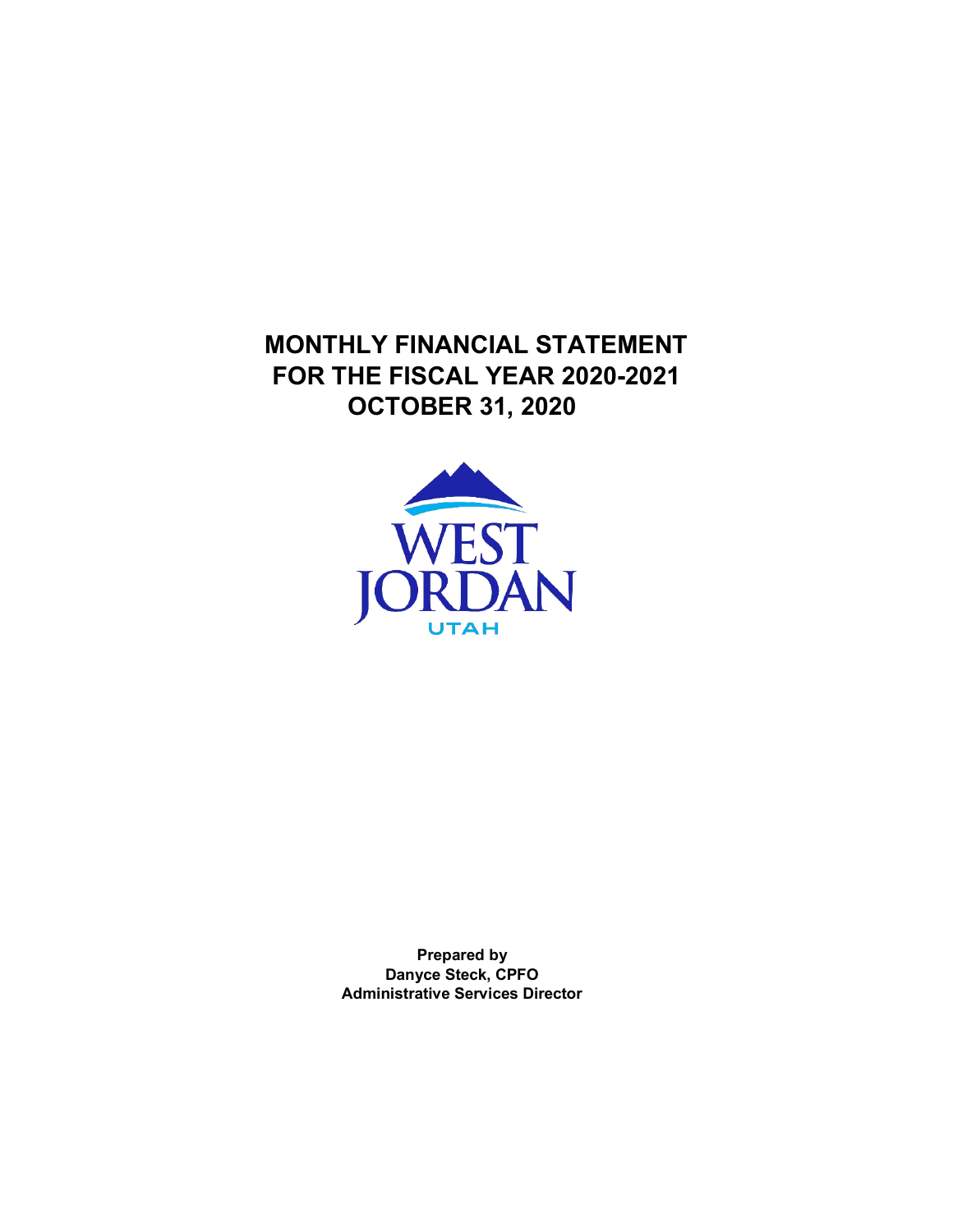**MONTHLY FINANCIAL STATEMENT FOR THE FISCAL YEAR 2020-2021 OCTOBER 31, 2020**



**Prepared by Danyce Steck, CPFO Administrative Services Director**